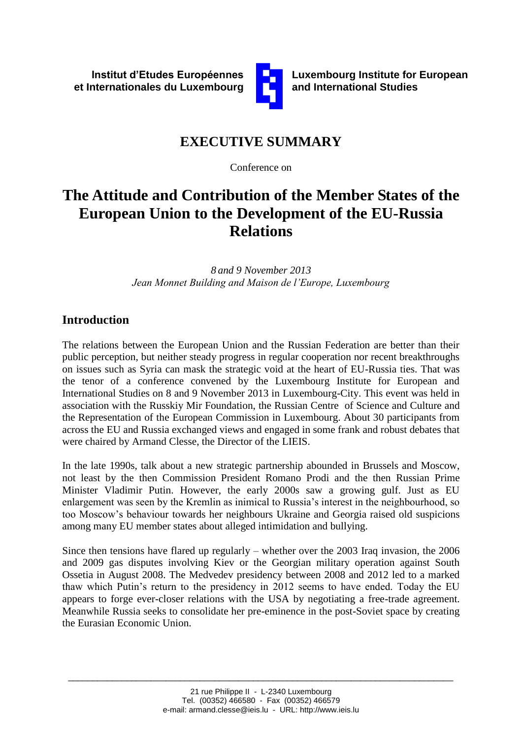

**Luxembourg Institute for European and International Studies**

# **EXECUTIVE SUMMARY**

Conference on

# **The Attitude and Contribution of the Member States of the European Union to the Development of the EU-Russia Relations**

*8 and 9 November 2013 Jean Monnet Building and Maison de l'Europe, Luxembourg*

# **Introduction**

The relations between the European Union and the Russian Federation are better than their public perception, but neither steady progress in regular cooperation nor recent breakthroughs on issues such as Syria can mask the strategic void at the heart of EU-Russia ties. That was the tenor of a conference convened by the Luxembourg Institute for European and International Studies on 8 and 9 November 2013 in Luxembourg-City. This event was held in association with the Russkiy Mir Foundation, the Russian Centre of Science and Culture and the Representation of the European Commission in Luxembourg. About 30 participants from across the EU and Russia exchanged views and engaged in some frank and robust debates that were chaired by Armand Clesse, the Director of the LIEIS.

In the late 1990s, talk about a new strategic partnership abounded in Brussels and Moscow, not least by the then Commission President Romano Prodi and the then Russian Prime Minister Vladimir Putin. However, the early 2000s saw a growing gulf. Just as EU enlargement was seen by the Kremlin as inimical to Russia"s interest in the neighbourhood, so too Moscow"s behaviour towards her neighbours Ukraine and Georgia raised old suspicions among many EU member states about alleged intimidation and bullying.

Since then tensions have flared up regularly – whether over the 2003 Iraq invasion, the 2006 and 2009 gas disputes involving Kiev or the Georgian military operation against South Ossetia in August 2008. The Medvedev presidency between 2008 and 2012 led to a marked thaw which Putin"s return to the presidency in 2012 seems to have ended. Today the EU appears to forge ever-closer relations with the USA by negotiating a free-trade agreement. Meanwhile Russia seeks to consolidate her pre-eminence in the post-Soviet space by creating the Eurasian Economic Union.

\_\_\_\_\_\_\_\_\_\_\_\_\_\_\_\_\_\_\_\_\_\_\_\_\_\_\_\_\_\_\_\_\_\_\_\_\_\_\_\_\_\_\_\_\_\_\_\_\_\_\_\_\_\_\_\_\_\_\_\_\_\_\_\_\_\_\_\_\_\_\_\_\_\_\_\_\_\_\_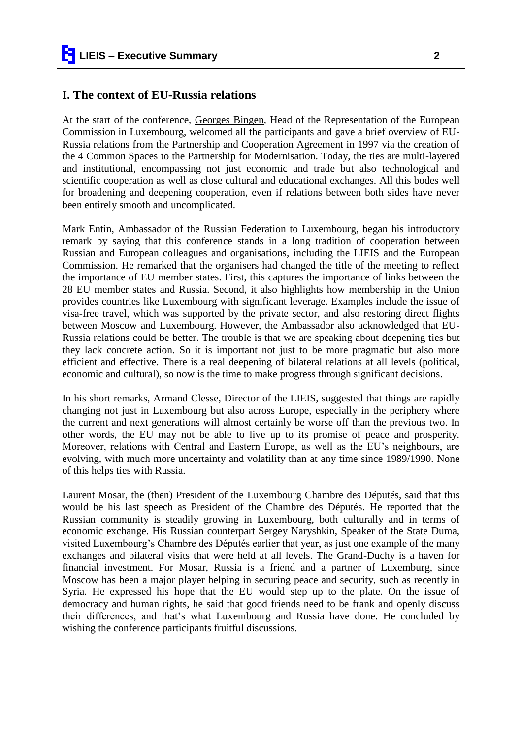#### **I. The context of EU-Russia relations**

At the start of the conference, Georges Bingen, Head of the Representation of the European Commission in Luxembourg, welcomed all the participants and gave a brief overview of EU-Russia relations from the Partnership and Cooperation Agreement in 1997 via the creation of the 4 Common Spaces to the Partnership for Modernisation. Today, the ties are multi-layered and institutional, encompassing not just economic and trade but also technological and scientific cooperation as well as close cultural and educational exchanges. All this bodes well for broadening and deepening cooperation, even if relations between both sides have never been entirely smooth and uncomplicated.

Mark Entin, Ambassador of the Russian Federation to Luxembourg, began his introductory remark by saying that this conference stands in a long tradition of cooperation between Russian and European colleagues and organisations, including the LIEIS and the European Commission. He remarked that the organisers had changed the title of the meeting to reflect the importance of EU member states. First, this captures the importance of links between the 28 EU member states and Russia. Second, it also highlights how membership in the Union provides countries like Luxembourg with significant leverage. Examples include the issue of visa-free travel, which was supported by the private sector, and also restoring direct flights between Moscow and Luxembourg. However, the Ambassador also acknowledged that EU-Russia relations could be better. The trouble is that we are speaking about deepening ties but they lack concrete action. So it is important not just to be more pragmatic but also more efficient and effective. There is a real deepening of bilateral relations at all levels (political, economic and cultural), so now is the time to make progress through significant decisions.

In his short remarks, Armand Clesse, Director of the LIEIS, suggested that things are rapidly changing not just in Luxembourg but also across Europe, especially in the periphery where the current and next generations will almost certainly be worse off than the previous two. In other words, the EU may not be able to live up to its promise of peace and prosperity. Moreover, relations with Central and Eastern Europe, as well as the EU"s neighbours, are evolving, with much more uncertainty and volatility than at any time since 1989/1990. None of this helps ties with Russia.

Laurent Mosar, the (then) President of the Luxembourg Chambre des Députés, said that this would be his last speech as President of the Chambre des Députés. He reported that the Russian community is steadily growing in Luxembourg, both culturally and in terms of economic exchange. His Russian counterpart Sergey Naryshkin, Speaker of the State Duma, visited Luxembourg"s Chambre des Députés earlier that year, as just one example of the many exchanges and bilateral visits that were held at all levels. The Grand-Duchy is a haven for financial investment. For Mosar, Russia is a friend and a partner of Luxemburg, since Moscow has been a major player helping in securing peace and security, such as recently in Syria. He expressed his hope that the EU would step up to the plate. On the issue of democracy and human rights, he said that good friends need to be frank and openly discuss their differences, and that"s what Luxembourg and Russia have done. He concluded by wishing the conference participants fruitful discussions.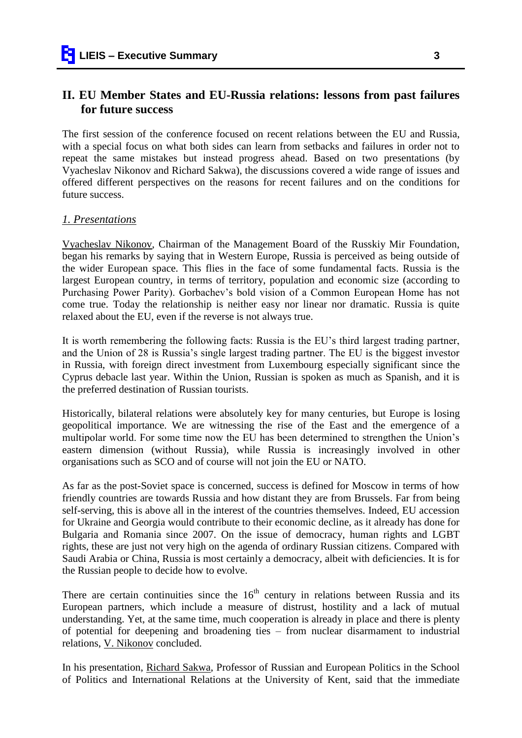## **II. EU Member States and EU-Russia relations: lessons from past failures for future success**

The first session of the conference focused on recent relations between the EU and Russia, with a special focus on what both sides can learn from setbacks and failures in order not to repeat the same mistakes but instead progress ahead. Based on two presentations (by Vyacheslav Nikonov and Richard Sakwa), the discussions covered a wide range of issues and offered different perspectives on the reasons for recent failures and on the conditions for future success.

#### *1. Presentations*

Vyacheslav Nikonov, Chairman of the Management Board of the Russkiy Mir Foundation, began his remarks by saying that in Western Europe, Russia is perceived as being outside of the wider European space. This flies in the face of some fundamental facts. Russia is the largest European country, in terms of territory, population and economic size (according to Purchasing Power Parity). Gorbachev's bold vision of a Common European Home has not come true. Today the relationship is neither easy nor linear nor dramatic. Russia is quite relaxed about the EU, even if the reverse is not always true.

It is worth remembering the following facts: Russia is the EU"s third largest trading partner, and the Union of 28 is Russia"s single largest trading partner. The EU is the biggest investor in Russia, with foreign direct investment from Luxembourg especially significant since the Cyprus debacle last year. Within the Union, Russian is spoken as much as Spanish, and it is the preferred destination of Russian tourists.

Historically, bilateral relations were absolutely key for many centuries, but Europe is losing geopolitical importance. We are witnessing the rise of the East and the emergence of a multipolar world. For some time now the EU has been determined to strengthen the Union"s eastern dimension (without Russia), while Russia is increasingly involved in other organisations such as SCO and of course will not join the EU or NATO.

As far as the post-Soviet space is concerned, success is defined for Moscow in terms of how friendly countries are towards Russia and how distant they are from Brussels. Far from being self-serving, this is above all in the interest of the countries themselves. Indeed, EU accession for Ukraine and Georgia would contribute to their economic decline, as it already has done for Bulgaria and Romania since 2007. On the issue of democracy, human rights and LGBT rights, these are just not very high on the agenda of ordinary Russian citizens. Compared with Saudi Arabia or China, Russia is most certainly a democracy, albeit with deficiencies. It is for the Russian people to decide how to evolve.

There are certain continuities since the  $16<sup>th</sup>$  century in relations between Russia and its European partners, which include a measure of distrust, hostility and a lack of mutual understanding. Yet, at the same time, much cooperation is already in place and there is plenty of potential for deepening and broadening ties – from nuclear disarmament to industrial relations, V. Nikonov concluded.

In his presentation, Richard Sakwa, Professor of Russian and European Politics in the School of Politics and International Relations at the University of Kent, said that the immediate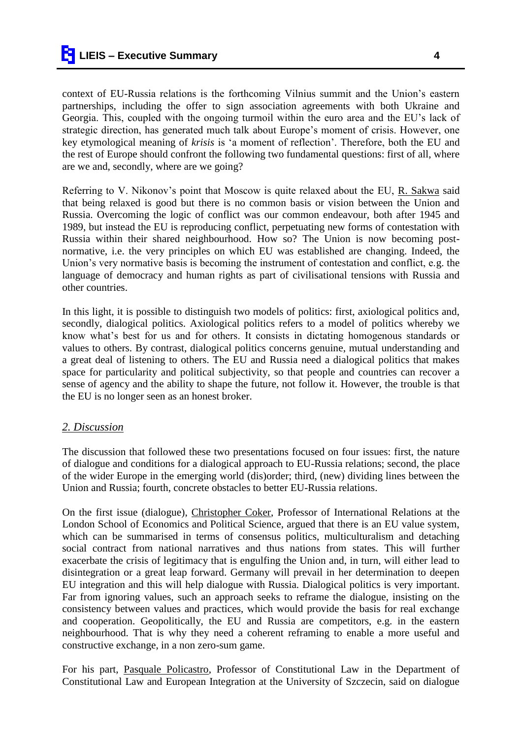context of EU-Russia relations is the forthcoming Vilnius summit and the Union"s eastern partnerships, including the offer to sign association agreements with both Ukraine and Georgia. This, coupled with the ongoing turmoil within the euro area and the EU"s lack of strategic direction, has generated much talk about Europe"s moment of crisis. However, one key etymological meaning of *krisis* is "a moment of reflection". Therefore, both the EU and the rest of Europe should confront the following two fundamental questions: first of all, where are we and, secondly, where are we going?

Referring to V. Nikonov"s point that Moscow is quite relaxed about the EU, R. Sakwa said that being relaxed is good but there is no common basis or vision between the Union and Russia. Overcoming the logic of conflict was our common endeavour, both after 1945 and 1989, but instead the EU is reproducing conflict, perpetuating new forms of contestation with Russia within their shared neighbourhood. How so? The Union is now becoming postnormative, i.e. the very principles on which EU was established are changing. Indeed, the Union"s very normative basis is becoming the instrument of contestation and conflict, e.g. the language of democracy and human rights as part of civilisational tensions with Russia and other countries.

In this light, it is possible to distinguish two models of politics: first, axiological politics and, secondly, dialogical politics. Axiological politics refers to a model of politics whereby we know what"s best for us and for others. It consists in dictating homogenous standards or values to others. By contrast, dialogical politics concerns genuine, mutual understanding and a great deal of listening to others. The EU and Russia need a dialogical politics that makes space for particularity and political subjectivity, so that people and countries can recover a sense of agency and the ability to shape the future, not follow it. However, the trouble is that the EU is no longer seen as an honest broker.

## *2. Discussion*

The discussion that followed these two presentations focused on four issues: first, the nature of dialogue and conditions for a dialogical approach to EU-Russia relations; second, the place of the wider Europe in the emerging world (dis)order; third, (new) dividing lines between the Union and Russia; fourth, concrete obstacles to better EU-Russia relations.

On the first issue (dialogue), Christopher Coker, Professor of International Relations at the London School of Economics and Political Science, argued that there is an EU value system, which can be summarised in terms of consensus politics, multiculturalism and detaching social contract from national narratives and thus nations from states. This will further exacerbate the crisis of legitimacy that is engulfing the Union and, in turn, will either lead to disintegration or a great leap forward. Germany will prevail in her determination to deepen EU integration and this will help dialogue with Russia. Dialogical politics is very important. Far from ignoring values, such an approach seeks to reframe the dialogue, insisting on the consistency between values and practices, which would provide the basis for real exchange and cooperation. Geopolitically, the EU and Russia are competitors, e.g. in the eastern neighbourhood. That is why they need a coherent reframing to enable a more useful and constructive exchange, in a non zero-sum game.

For his part, Pasquale Policastro, Professor of Constitutional Law in the Department of Constitutional Law and European Integration at the University of Szczecin, said on dialogue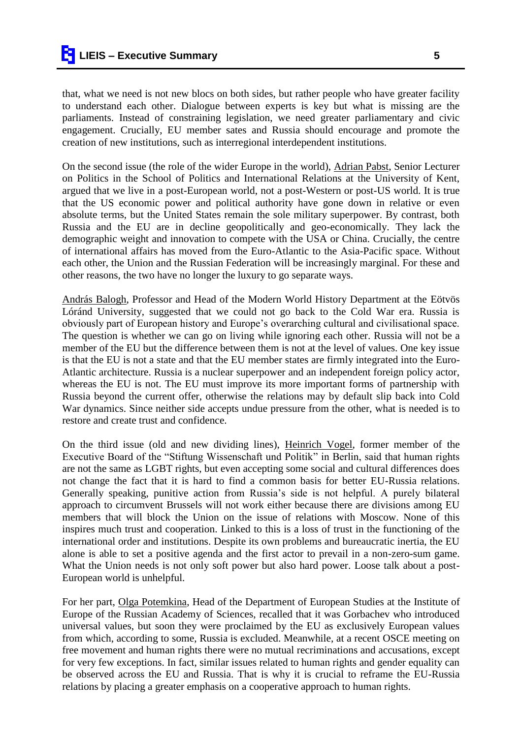that, what we need is not new blocs on both sides, but rather people who have greater facility to understand each other. Dialogue between experts is key but what is missing are the parliaments. Instead of constraining legislation, we need greater parliamentary and civic engagement. Crucially, EU member sates and Russia should encourage and promote the creation of new institutions, such as interregional interdependent institutions.

On the second issue (the role of the wider Europe in the world), Adrian Pabst, Senior Lecturer on Politics in the School of Politics and International Relations at the University of Kent, argued that we live in a post-European world, not a post-Western or post-US world. It is true that the US economic power and political authority have gone down in relative or even absolute terms, but the United States remain the sole military superpower. By contrast, both Russia and the EU are in decline geopolitically and geo-economically. They lack the demographic weight and innovation to compete with the USA or China. Crucially, the centre of international affairs has moved from the Euro-Atlantic to the Asia-Pacific space. Without each other, the Union and the Russian Federation will be increasingly marginal. For these and other reasons, the two have no longer the luxury to go separate ways.

András Balogh, Professor and Head of the Modern World History Department at the Eötvös Lóránd University, suggested that we could not go back to the Cold War era. Russia is obviously part of European history and Europe"s overarching cultural and civilisational space. The question is whether we can go on living while ignoring each other. Russia will not be a member of the EU but the difference between them is not at the level of values. One key issue is that the EU is not a state and that the EU member states are firmly integrated into the Euro-Atlantic architecture. Russia is a nuclear superpower and an independent foreign policy actor, whereas the EU is not. The EU must improve its more important forms of partnership with Russia beyond the current offer, otherwise the relations may by default slip back into Cold War dynamics. Since neither side accepts undue pressure from the other, what is needed is to restore and create trust and confidence.

On the third issue (old and new dividing lines), Heinrich Vogel, former member of the Executive Board of the "Stiftung Wissenschaft und Politik" in Berlin, said that human rights are not the same as LGBT rights, but even accepting some social and cultural differences does not change the fact that it is hard to find a common basis for better EU-Russia relations. Generally speaking, punitive action from Russia's side is not helpful. A purely bilateral approach to circumvent Brussels will not work either because there are divisions among EU members that will block the Union on the issue of relations with Moscow. None of this inspires much trust and cooperation. Linked to this is a loss of trust in the functioning of the international order and institutions. Despite its own problems and bureaucratic inertia, the EU alone is able to set a positive agenda and the first actor to prevail in a non-zero-sum game. What the Union needs is not only soft power but also hard power. Loose talk about a post-European world is unhelpful.

For her part, Olga Potemkina, Head of the Department of European Studies at the Institute of Europe of the Russian Academy of Sciences, recalled that it was Gorbachev who introduced universal values, but soon they were proclaimed by the EU as exclusively European values from which, according to some, Russia is excluded. Meanwhile, at a recent OSCE meeting on free movement and human rights there were no mutual recriminations and accusations, except for very few exceptions. In fact, similar issues related to human rights and gender equality can be observed across the EU and Russia. That is why it is crucial to reframe the EU-Russia relations by placing a greater emphasis on a cooperative approach to human rights.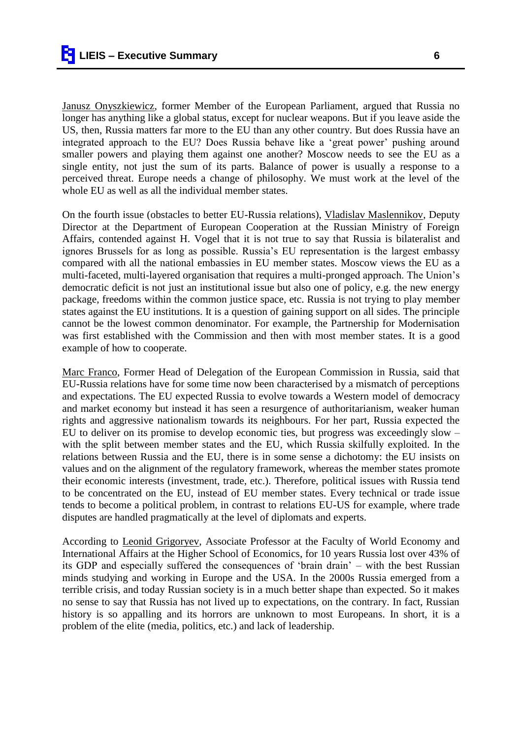Janusz Onyszkiewicz, former Member of the European Parliament, argued that Russia no longer has anything like a global status, except for nuclear weapons. But if you leave aside the US, then, Russia matters far more to the EU than any other country. But does Russia have an integrated approach to the EU? Does Russia behave like a "great power" pushing around smaller powers and playing them against one another? Moscow needs to see the EU as a single entity, not just the sum of its parts. Balance of power is usually a response to a perceived threat. Europe needs a change of philosophy. We must work at the level of the whole EU as well as all the individual member states.

On the fourth issue (obstacles to better EU-Russia relations), Vladislav Maslennikov, Deputy Director at the Department of European Cooperation at the Russian Ministry of Foreign Affairs, contended against H. Vogel that it is not true to say that Russia is bilateralist and ignores Brussels for as long as possible. Russia"s EU representation is the largest embassy compared with all the national embassies in EU member states. Moscow views the EU as a multi-faceted, multi-layered organisation that requires a multi-pronged approach. The Union"s democratic deficit is not just an institutional issue but also one of policy, e.g. the new energy package, freedoms within the common justice space, etc. Russia is not trying to play member states against the EU institutions. It is a question of gaining support on all sides. The principle cannot be the lowest common denominator. For example, the Partnership for Modernisation was first established with the Commission and then with most member states. It is a good example of how to cooperate.

Marc Franco, Former Head of Delegation of the European Commission in Russia, said that EU-Russia relations have for some time now been characterised by a mismatch of perceptions and expectations. The EU expected Russia to evolve towards a Western model of democracy and market economy but instead it has seen a resurgence of authoritarianism, weaker human rights and aggressive nationalism towards its neighbours. For her part, Russia expected the EU to deliver on its promise to develop economic ties, but progress was exceedingly slow – with the split between member states and the EU, which Russia skilfully exploited. In the relations between Russia and the EU, there is in some sense a dichotomy: the EU insists on values and on the alignment of the regulatory framework, whereas the member states promote their economic interests (investment, trade, etc.). Therefore, political issues with Russia tend to be concentrated on the EU, instead of EU member states. Every technical or trade issue tends to become a political problem, in contrast to relations EU-US for example, where trade disputes are handled pragmatically at the level of diplomats and experts.

According to Leonid Grigoryev, Associate Professor at the Faculty of World Economy and International Affairs at the Higher School of Economics, for 10 years Russia lost over 43% of its GDP and especially suffered the consequences of "brain drain" – with the best Russian minds studying and working in Europe and the USA. In the 2000s Russia emerged from a terrible crisis, and today Russian society is in a much better shape than expected. So it makes no sense to say that Russia has not lived up to expectations, on the contrary. In fact, Russian history is so appalling and its horrors are unknown to most Europeans. In short, it is a problem of the elite (media, politics, etc.) and lack of leadership.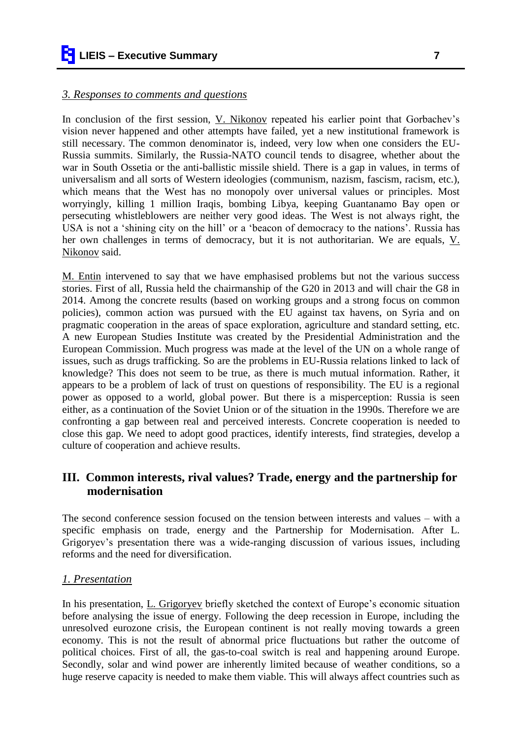#### *3. Responses to comments and questions*

In conclusion of the first session, V. Nikonov repeated his earlier point that Gorbachev's vision never happened and other attempts have failed, yet a new institutional framework is still necessary. The common denominator is, indeed, very low when one considers the EU-Russia summits. Similarly, the Russia-NATO council tends to disagree, whether about the war in South Ossetia or the anti-ballistic missile shield. There is a gap in values, in terms of universalism and all sorts of Western ideologies (communism, nazism, fascism, racism, etc.), which means that the West has no monopoly over universal values or principles. Most worryingly, killing 1 million Iraqis, bombing Libya, keeping Guantanamo Bay open or persecuting whistleblowers are neither very good ideas. The West is not always right, the USA is not a 'shining city on the hill' or a 'beacon of democracy to the nations'. Russia has her own challenges in terms of democracy, but it is not authoritarian. We are equals, V. Nikonov said.

M. Entin intervened to say that we have emphasised problems but not the various success stories. First of all, Russia held the chairmanship of the G20 in 2013 and will chair the G8 in 2014. Among the concrete results (based on working groups and a strong focus on common policies), common action was pursued with the EU against tax havens, on Syria and on pragmatic cooperation in the areas of space exploration, agriculture and standard setting, etc. A new European Studies Institute was created by the Presidential Administration and the European Commission. Much progress was made at the level of the UN on a whole range of issues, such as drugs trafficking. So are the problems in EU-Russia relations linked to lack of knowledge? This does not seem to be true, as there is much mutual information. Rather, it appears to be a problem of lack of trust on questions of responsibility. The EU is a regional power as opposed to a world, global power. But there is a misperception: Russia is seen either, as a continuation of the Soviet Union or of the situation in the 1990s. Therefore we are confronting a gap between real and perceived interests. Concrete cooperation is needed to close this gap. We need to adopt good practices, identify interests, find strategies, develop a culture of cooperation and achieve results.

# **III. Common interests, rival values? Trade, energy and the partnership for modernisation**

The second conference session focused on the tension between interests and values – with a specific emphasis on trade, energy and the Partnership for Modernisation. After L. Grigoryev"s presentation there was a wide-ranging discussion of various issues, including reforms and the need for diversification.

## *1. Presentation*

In his presentation, L. Grigoryev briefly sketched the context of Europe's economic situation before analysing the issue of energy. Following the deep recession in Europe, including the unresolved eurozone crisis, the European continent is not really moving towards a green economy. This is not the result of abnormal price fluctuations but rather the outcome of political choices. First of all, the gas-to-coal switch is real and happening around Europe. Secondly, solar and wind power are inherently limited because of weather conditions, so a huge reserve capacity is needed to make them viable. This will always affect countries such as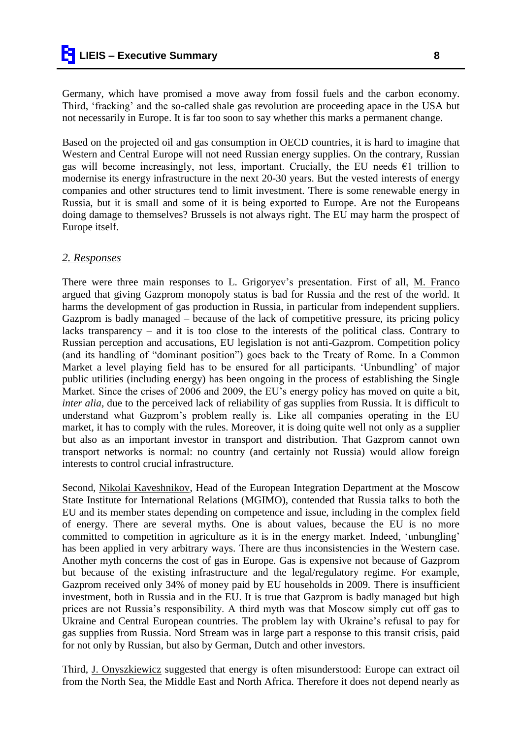Germany, which have promised a move away from fossil fuels and the carbon economy. Third, 'fracking' and the so-called shale gas revolution are proceeding apace in the USA but not necessarily in Europe. It is far too soon to say whether this marks a permanent change.

Based on the projected oil and gas consumption in OECD countries, it is hard to imagine that Western and Central Europe will not need Russian energy supplies. On the contrary, Russian gas will become increasingly, not less, important. Crucially, the EU needs  $\epsilon$ 1 trillion to modernise its energy infrastructure in the next 20-30 years. But the vested interests of energy companies and other structures tend to limit investment. There is some renewable energy in Russia, but it is small and some of it is being exported to Europe. Are not the Europeans doing damage to themselves? Brussels is not always right. The EU may harm the prospect of Europe itself.

#### *2. Responses*

There were three main responses to L. Grigoryev's presentation. First of all, M. Franco argued that giving Gazprom monopoly status is bad for Russia and the rest of the world. It harms the development of gas production in Russia, in particular from independent suppliers. Gazprom is badly managed – because of the lack of competitive pressure, its pricing policy lacks transparency – and it is too close to the interests of the political class. Contrary to Russian perception and accusations, EU legislation is not anti-Gazprom. Competition policy (and its handling of "dominant position") goes back to the Treaty of Rome. In a Common Market a level playing field has to be ensured for all participants. "Unbundling" of major public utilities (including energy) has been ongoing in the process of establishing the Single Market. Since the crises of 2006 and 2009, the EU"s energy policy has moved on quite a bit, *inter alia*, due to the perceived lack of reliability of gas supplies from Russia. It is difficult to understand what Gazprom"s problem really is. Like all companies operating in the EU market, it has to comply with the rules. Moreover, it is doing quite well not only as a supplier but also as an important investor in transport and distribution. That Gazprom cannot own transport networks is normal: no country (and certainly not Russia) would allow foreign interests to control crucial infrastructure.

Second, Nikolai Kaveshnikov, Head of the European Integration Department at the Moscow State Institute for International Relations (MGIMO), contended that Russia talks to both the EU and its member states depending on competence and issue, including in the complex field of energy. There are several myths. One is about values, because the EU is no more committed to competition in agriculture as it is in the energy market. Indeed, 'unbungling' has been applied in very arbitrary ways. There are thus inconsistencies in the Western case. Another myth concerns the cost of gas in Europe. Gas is expensive not because of Gazprom but because of the existing infrastructure and the legal/regulatory regime. For example, Gazprom received only 34% of money paid by EU households in 2009. There is insufficient investment, both in Russia and in the EU. It is true that Gazprom is badly managed but high prices are not Russia"s responsibility. A third myth was that Moscow simply cut off gas to Ukraine and Central European countries. The problem lay with Ukraine"s refusal to pay for gas supplies from Russia. Nord Stream was in large part a response to this transit crisis, paid for not only by Russian, but also by German, Dutch and other investors.

Third, J. Onyszkiewicz suggested that energy is often misunderstood: Europe can extract oil from the North Sea, the Middle East and North Africa. Therefore it does not depend nearly as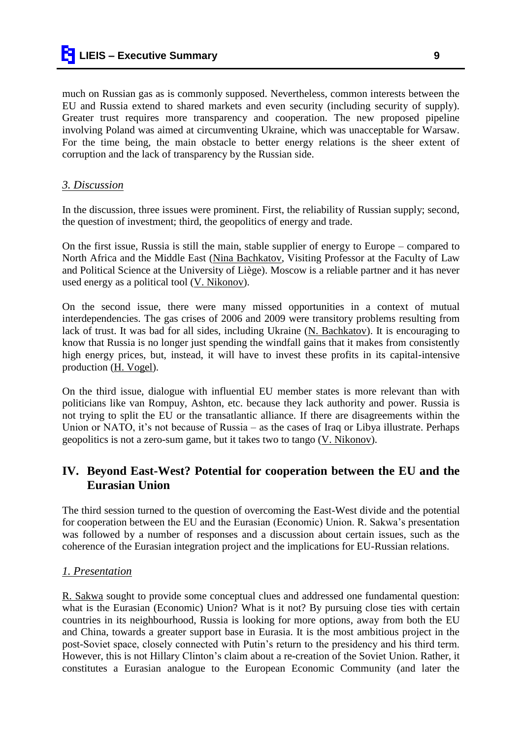much on Russian gas as is commonly supposed. Nevertheless, common interests between the EU and Russia extend to shared markets and even security (including security of supply). Greater trust requires more transparency and cooperation. The new proposed pipeline involving Poland was aimed at circumventing Ukraine, which was unacceptable for Warsaw. For the time being, the main obstacle to better energy relations is the sheer extent of corruption and the lack of transparency by the Russian side.

#### *3. Discussion*

In the discussion, three issues were prominent. First, the reliability of Russian supply; second, the question of investment; third, the geopolitics of energy and trade.

On the first issue, Russia is still the main, stable supplier of energy to Europe – compared to North Africa and the Middle East (Nina Bachkatov, Visiting Professor at the Faculty of Law and Political Science at the University of Liège). Moscow is a reliable partner and it has never used energy as a political tool (V. Nikonov).

On the second issue, there were many missed opportunities in a context of mutual interdependencies. The gas crises of 2006 and 2009 were transitory problems resulting from lack of trust. It was bad for all sides, including Ukraine (N. Bachkatov). It is encouraging to know that Russia is no longer just spending the windfall gains that it makes from consistently high energy prices, but, instead, it will have to invest these profits in its capital-intensive production (H. Vogel).

On the third issue, dialogue with influential EU member states is more relevant than with politicians like van Rompuy, Ashton, etc. because they lack authority and power. Russia is not trying to split the EU or the transatlantic alliance. If there are disagreements within the Union or NATO, it's not because of Russia – as the cases of Iraq or Libya illustrate. Perhaps geopolitics is not a zero-sum game, but it takes two to tango (V. Nikonov).

# **IV. Beyond East-West? Potential for cooperation between the EU and the Eurasian Union**

The third session turned to the question of overcoming the East-West divide and the potential for cooperation between the EU and the Eurasian (Economic) Union. R. Sakwa"s presentation was followed by a number of responses and a discussion about certain issues, such as the coherence of the Eurasian integration project and the implications for EU-Russian relations.

## *1. Presentation*

R. Sakwa sought to provide some conceptual clues and addressed one fundamental question: what is the Eurasian (Economic) Union? What is it not? By pursuing close ties with certain countries in its neighbourhood, Russia is looking for more options, away from both the EU and China, towards a greater support base in Eurasia. It is the most ambitious project in the post-Soviet space, closely connected with Putin"s return to the presidency and his third term. However, this is not Hillary Clinton"s claim about a re-creation of the Soviet Union. Rather, it constitutes a Eurasian analogue to the European Economic Community (and later the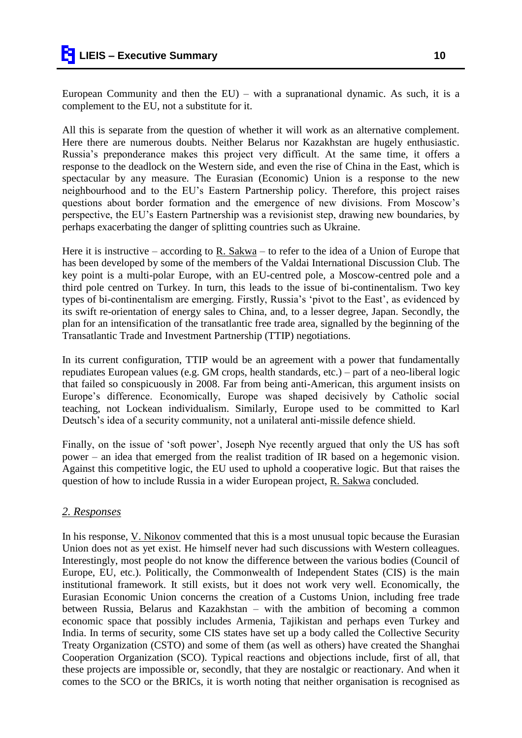European Community and then the  $EU$  – with a supranational dynamic. As such, it is a complement to the EU, not a substitute for it.

All this is separate from the question of whether it will work as an alternative complement. Here there are numerous doubts. Neither Belarus nor Kazakhstan are hugely enthusiastic. Russia"s preponderance makes this project very difficult. At the same time, it offers a response to the deadlock on the Western side, and even the rise of China in the East, which is spectacular by any measure. The Eurasian (Economic) Union is a response to the new neighbourhood and to the EU"s Eastern Partnership policy. Therefore, this project raises questions about border formation and the emergence of new divisions. From Moscow"s perspective, the EU"s Eastern Partnership was a revisionist step, drawing new boundaries, by perhaps exacerbating the danger of splitting countries such as Ukraine.

Here it is instructive – according to R. Sakwa – to refer to the idea of a Union of Europe that has been developed by some of the members of the Valdai International Discussion Club. The key point is a multi-polar Europe, with an EU-centred pole, a Moscow-centred pole and a third pole centred on Turkey. In turn, this leads to the issue of bi-continentalism. Two key types of bi-continentalism are emerging. Firstly, Russia's 'pivot to the East', as evidenced by its swift re-orientation of energy sales to China, and, to a lesser degree, Japan. Secondly, the plan for an intensification of the transatlantic free trade area, signalled by the beginning of the Transatlantic Trade and Investment Partnership (TTIP) negotiations.

In its current configuration, TTIP would be an agreement with a power that fundamentally repudiates European values (e.g. GM crops, health standards, etc.) – part of a neo-liberal logic that failed so conspicuously in 2008. Far from being anti-American, this argument insists on Europe"s difference. Economically, Europe was shaped decisively by Catholic social teaching, not Lockean individualism. Similarly, Europe used to be committed to Karl Deutsch"s idea of a security community, not a unilateral anti-missile defence shield.

Finally, on the issue of 'soft power', Joseph Nye recently argued that only the US has soft power – an idea that emerged from the realist tradition of IR based on a hegemonic vision. Against this competitive logic, the EU used to uphold a cooperative logic. But that raises the question of how to include Russia in a wider European project, R. Sakwa concluded.

## *2. Responses*

In his response, V. Nikonov commented that this is a most unusual topic because the Eurasian Union does not as yet exist. He himself never had such discussions with Western colleagues. Interestingly, most people do not know the difference between the various bodies (Council of Europe, EU, etc.). Politically, the Commonwealth of Independent States (CIS) is the main institutional framework. It still exists, but it does not work very well. Economically, the Eurasian Economic Union concerns the creation of a Customs Union, including free trade between Russia, Belarus and Kazakhstan – with the ambition of becoming a common economic space that possibly includes Armenia, Tajikistan and perhaps even Turkey and India. In terms of security, some CIS states have set up a body called the Collective Security Treaty Organization (CSTO) and some of them (as well as others) have created the Shanghai Cooperation Organization (SCO). Typical reactions and objections include, first of all, that these projects are impossible or, secondly, that they are nostalgic or reactionary. And when it comes to the SCO or the BRICs, it is worth noting that neither organisation is recognised as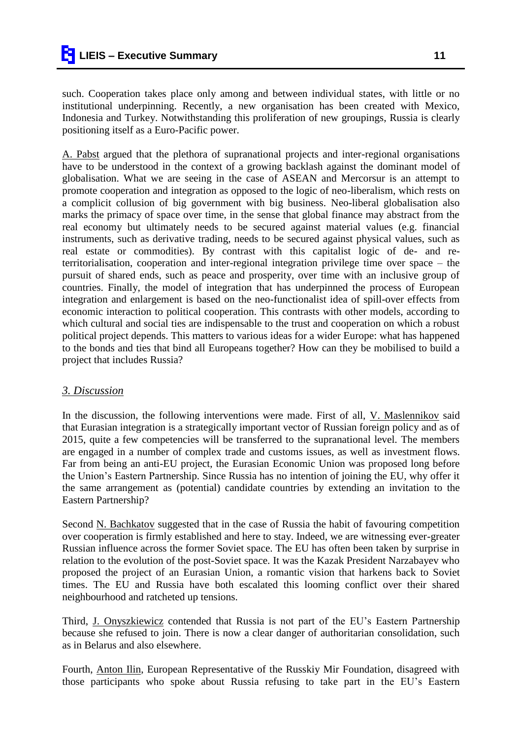such. Cooperation takes place only among and between individual states, with little or no institutional underpinning. Recently, a new organisation has been created with Mexico, Indonesia and Turkey. Notwithstanding this proliferation of new groupings, Russia is clearly positioning itself as a Euro-Pacific power.

A. Pabst argued that the plethora of supranational projects and inter-regional organisations have to be understood in the context of a growing backlash against the dominant model of globalisation. What we are seeing in the case of ASEAN and Mercorsur is an attempt to promote cooperation and integration as opposed to the logic of neo-liberalism, which rests on a complicit collusion of big government with big business. Neo-liberal globalisation also marks the primacy of space over time, in the sense that global finance may abstract from the real economy but ultimately needs to be secured against material values (e.g. financial instruments, such as derivative trading, needs to be secured against physical values, such as real estate or commodities). By contrast with this capitalist logic of de- and reterritorialisation, cooperation and inter-regional integration privilege time over space – the pursuit of shared ends, such as peace and prosperity, over time with an inclusive group of countries. Finally, the model of integration that has underpinned the process of European integration and enlargement is based on the neo-functionalist idea of spill-over effects from economic interaction to political cooperation. This contrasts with other models, according to which cultural and social ties are indispensable to the trust and cooperation on which a robust political project depends. This matters to various ideas for a wider Europe: what has happened to the bonds and ties that bind all Europeans together? How can they be mobilised to build a project that includes Russia?

## *3. Discussion*

In the discussion, the following interventions were made. First of all, V. Maslennikov said that Eurasian integration is a strategically important vector of Russian foreign policy and as of 2015, quite a few competencies will be transferred to the supranational level. The members are engaged in a number of complex trade and customs issues, as well as investment flows. Far from being an anti-EU project, the Eurasian Economic Union was proposed long before the Union"s Eastern Partnership. Since Russia has no intention of joining the EU, why offer it the same arrangement as (potential) candidate countries by extending an invitation to the Eastern Partnership?

Second N. Bachkatov suggested that in the case of Russia the habit of favouring competition over cooperation is firmly established and here to stay. Indeed, we are witnessing ever-greater Russian influence across the former Soviet space. The EU has often been taken by surprise in relation to the evolution of the post-Soviet space. It was the Kazak President Narzabayev who proposed the project of an Eurasian Union, a romantic vision that harkens back to Soviet times. The EU and Russia have both escalated this looming conflict over their shared neighbourhood and ratcheted up tensions.

Third, J. Onyszkiewicz contended that Russia is not part of the EU"s Eastern Partnership because she refused to join. There is now a clear danger of authoritarian consolidation, such as in Belarus and also elsewhere.

Fourth, Anton Ilin, European Representative of the Russkiy Mir Foundation, disagreed with those participants who spoke about Russia refusing to take part in the EU"s Eastern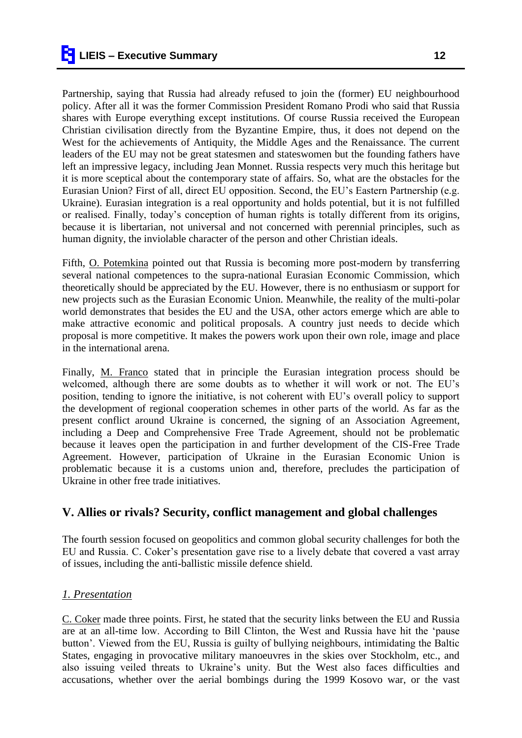Partnership, saying that Russia had already refused to join the (former) EU neighbourhood policy. After all it was the former Commission President Romano Prodi who said that Russia shares with Europe everything except institutions. Of course Russia received the European Christian civilisation directly from the Byzantine Empire, thus, it does not depend on the West for the achievements of Antiquity, the Middle Ages and the Renaissance. The current leaders of the EU may not be great statesmen and stateswomen but the founding fathers have left an impressive legacy, including Jean Monnet. Russia respects very much this heritage but it is more sceptical about the contemporary state of affairs. So, what are the obstacles for the Eurasian Union? First of all, direct EU opposition. Second, the EU"s Eastern Partnership (e.g. Ukraine). Eurasian integration is a real opportunity and holds potential, but it is not fulfilled or realised. Finally, today"s conception of human rights is totally different from its origins, because it is libertarian, not universal and not concerned with perennial principles, such as human dignity, the inviolable character of the person and other Christian ideals.

Fifth, O. Potemkina pointed out that Russia is becoming more post-modern by transferring several national competences to the supra-national Eurasian Economic Commission, which theoretically should be appreciated by the EU. However, there is no enthusiasm or support for new projects such as the Eurasian Economic Union. Meanwhile, the reality of the multi-polar world demonstrates that besides the EU and the USA, other actors emerge which are able to make attractive economic and political proposals. A country just needs to decide which proposal is more competitive. It makes the powers work upon their own role, image and place in the international arena.

Finally, M. Franco stated that in principle the Eurasian integration process should be welcomed, although there are some doubts as to whether it will work or not. The EU"s position, tending to ignore the initiative, is not coherent with EU"s overall policy to support the development of regional cooperation schemes in other parts of the world. As far as the present conflict around Ukraine is concerned, the signing of an Association Agreement, including a Deep and Comprehensive Free Trade Agreement, should not be problematic because it leaves open the participation in and further development of the CIS-Free Trade Agreement. However, participation of Ukraine in the Eurasian Economic Union is problematic because it is a customs union and, therefore, precludes the participation of Ukraine in other free trade initiatives.

## **V. Allies or rivals? Security, conflict management and global challenges**

The fourth session focused on geopolitics and common global security challenges for both the EU and Russia. C. Coker"s presentation gave rise to a lively debate that covered a vast array of issues, including the anti-ballistic missile defence shield.

## *1. Presentation*

C. Coker made three points. First, he stated that the security links between the EU and Russia are at an all-time low. According to Bill Clinton, the West and Russia have hit the "pause button". Viewed from the EU, Russia is guilty of bullying neighbours, intimidating the Baltic States, engaging in provocative military manoeuvres in the skies over Stockholm, etc., and also issuing veiled threats to Ukraine"s unity. But the West also faces difficulties and accusations, whether over the aerial bombings during the 1999 Kosovo war, or the vast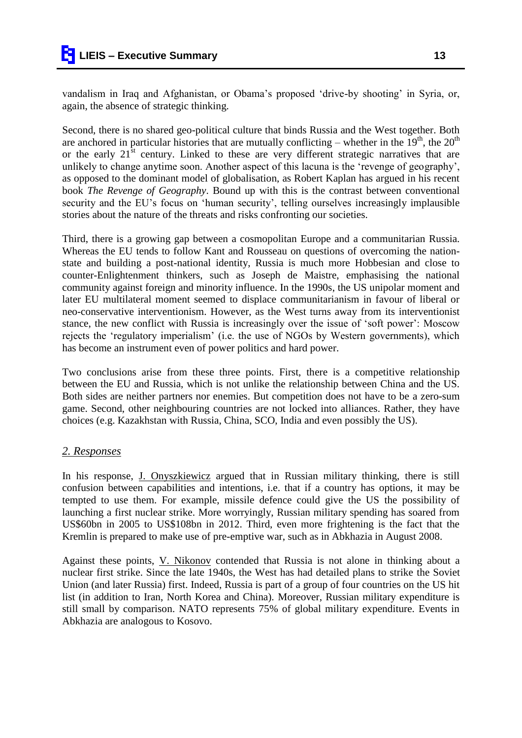vandalism in Iraq and Afghanistan, or Obama's proposed 'drive-by shooting' in Syria, or, again, the absence of strategic thinking.

Second, there is no shared geo-political culture that binds Russia and the West together. Both are anchored in particular histories that are mutually conflicting – whether in the  $19<sup>th</sup>$ , the  $20<sup>th</sup>$ or the early  $21<sup>st</sup>$  century. Linked to these are very different strategic narratives that are unlikely to change anytime soon. Another aspect of this lacuna is the "revenge of geography", as opposed to the dominant model of globalisation, as Robert Kaplan has argued in his recent book *The Revenge of Geography*. Bound up with this is the contrast between conventional security and the EU's focus on 'human security', telling ourselves increasingly implausible stories about the nature of the threats and risks confronting our societies.

Third, there is a growing gap between a cosmopolitan Europe and a communitarian Russia. Whereas the EU tends to follow Kant and Rousseau on questions of overcoming the nationstate and building a post-national identity, Russia is much more Hobbesian and close to counter-Enlightenment thinkers, such as Joseph de Maistre, emphasising the national community against foreign and minority influence. In the 1990s, the US unipolar moment and later EU multilateral moment seemed to displace communitarianism in favour of liberal or neo-conservative interventionism. However, as the West turns away from its interventionist stance, the new conflict with Russia is increasingly over the issue of "soft power": Moscow rejects the "regulatory imperialism" (i.e. the use of NGOs by Western governments), which has become an instrument even of power politics and hard power.

Two conclusions arise from these three points. First, there is a competitive relationship between the EU and Russia, which is not unlike the relationship between China and the US. Both sides are neither partners nor enemies. But competition does not have to be a zero-sum game. Second, other neighbouring countries are not locked into alliances. Rather, they have choices (e.g. Kazakhstan with Russia, China, SCO, India and even possibly the US).

## *2. Responses*

In his response, J. Onyszkiewicz argued that in Russian military thinking, there is still confusion between capabilities and intentions, i.e. that if a country has options, it may be tempted to use them. For example, missile defence could give the US the possibility of launching a first nuclear strike. More worryingly, Russian military spending has soared from US\$60bn in 2005 to US\$108bn in 2012. Third, even more frightening is the fact that the Kremlin is prepared to make use of pre-emptive war, such as in Abkhazia in August 2008.

Against these points, V. Nikonov contended that Russia is not alone in thinking about a nuclear first strike. Since the late 1940s, the West has had detailed plans to strike the Soviet Union (and later Russia) first. Indeed, Russia is part of a group of four countries on the US hit list (in addition to Iran, North Korea and China). Moreover, Russian military expenditure is still small by comparison. NATO represents 75% of global military expenditure. Events in Abkhazia are analogous to Kosovo.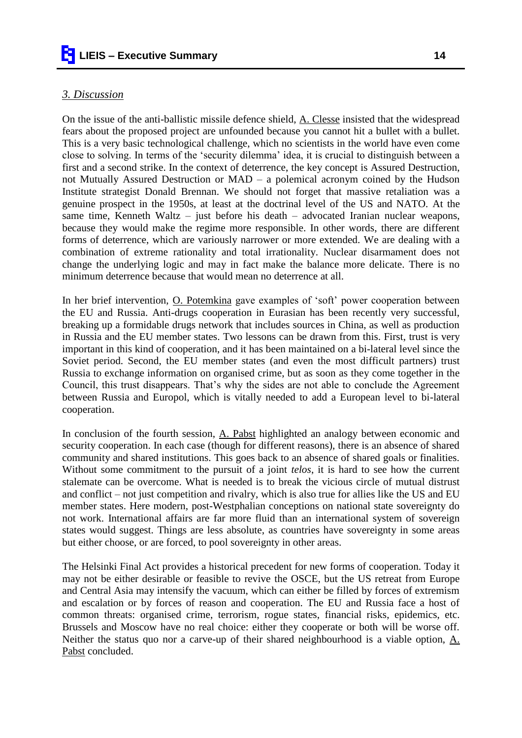#### *3. Discussion*

On the issue of the anti-ballistic missile defence shield, A. Clesse insisted that the widespread fears about the proposed project are unfounded because you cannot hit a bullet with a bullet. This is a very basic technological challenge, which no scientists in the world have even come close to solving. In terms of the "security dilemma" idea, it is crucial to distinguish between a first and a second strike. In the context of deterrence, the key concept is Assured Destruction, not Mutually Assured Destruction or MAD – a polemical acronym coined by the Hudson Institute strategist Donald Brennan. We should not forget that massive retaliation was a genuine prospect in the 1950s, at least at the doctrinal level of the US and NATO. At the same time, Kenneth Waltz – just before his death – advocated Iranian nuclear weapons, because they would make the regime more responsible. In other words, there are different forms of deterrence, which are variously narrower or more extended. We are dealing with a combination of extreme rationality and total irrationality. Nuclear disarmament does not change the underlying logic and may in fact make the balance more delicate. There is no minimum deterrence because that would mean no deterrence at all.

In her brief intervention, O. Potemkina gave examples of 'soft' power cooperation between the EU and Russia. Anti-drugs cooperation in Eurasian has been recently very successful, breaking up a formidable drugs network that includes sources in China, as well as production in Russia and the EU member states. Two lessons can be drawn from this. First, trust is very important in this kind of cooperation, and it has been maintained on a bi-lateral level since the Soviet period. Second, the EU member states (and even the most difficult partners) trust Russia to exchange information on organised crime, but as soon as they come together in the Council, this trust disappears. That"s why the sides are not able to conclude the Agreement between Russia and Europol, which is vitally needed to add a European level to bi-lateral cooperation.

In conclusion of the fourth session, A. Pabst highlighted an analogy between economic and security cooperation. In each case (though for different reasons), there is an absence of shared community and shared institutions. This goes back to an absence of shared goals or finalities. Without some commitment to the pursuit of a joint *telos*, it is hard to see how the current stalemate can be overcome. What is needed is to break the vicious circle of mutual distrust and conflict – not just competition and rivalry, which is also true for allies like the US and EU member states. Here modern, post-Westphalian conceptions on national state sovereignty do not work. International affairs are far more fluid than an international system of sovereign states would suggest. Things are less absolute, as countries have sovereignty in some areas but either choose, or are forced, to pool sovereignty in other areas.

The Helsinki Final Act provides a historical precedent for new forms of cooperation. Today it may not be either desirable or feasible to revive the OSCE, but the US retreat from Europe and Central Asia may intensify the vacuum, which can either be filled by forces of extremism and escalation or by forces of reason and cooperation. The EU and Russia face a host of common threats: organised crime, terrorism, rogue states, financial risks, epidemics, etc. Brussels and Moscow have no real choice: either they cooperate or both will be worse off. Neither the status quo nor a carve-up of their shared neighbourhood is a viable option, A. Pabst concluded.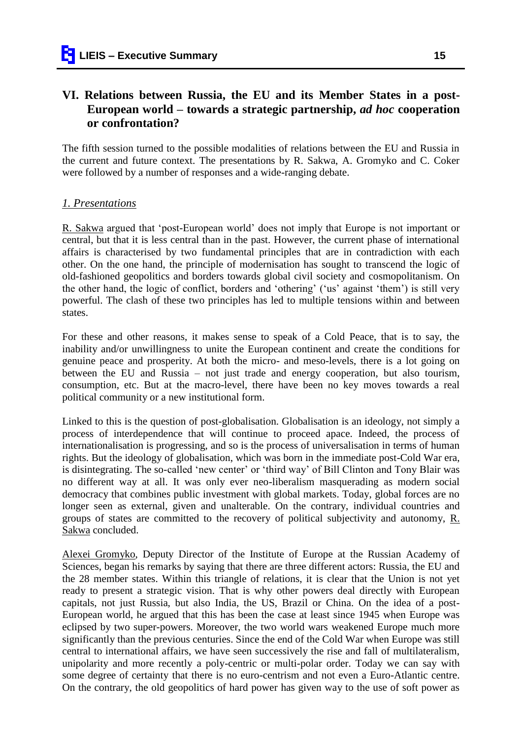# **VI. Relations between Russia, the EU and its Member States in a post-European world – towards a strategic partnership,** *ad hoc* **cooperation or confrontation?**

The fifth session turned to the possible modalities of relations between the EU and Russia in the current and future context. The presentations by R. Sakwa, A. Gromyko and C. Coker were followed by a number of responses and a wide-ranging debate.

## *1. Presentations*

R. Sakwa argued that "post-European world" does not imply that Europe is not important or central, but that it is less central than in the past. However, the current phase of international affairs is characterised by two fundamental principles that are in contradiction with each other. On the one hand, the principle of modernisation has sought to transcend the logic of old-fashioned geopolitics and borders towards global civil society and cosmopolitanism. On the other hand, the logic of conflict, borders and "othering" ("us" against "them") is still very powerful. The clash of these two principles has led to multiple tensions within and between states.

For these and other reasons, it makes sense to speak of a Cold Peace, that is to say, the inability and/or unwillingness to unite the European continent and create the conditions for genuine peace and prosperity. At both the micro- and meso-levels, there is a lot going on between the EU and Russia – not just trade and energy cooperation, but also tourism, consumption, etc. But at the macro-level, there have been no key moves towards a real political community or a new institutional form.

Linked to this is the question of post-globalisation. Globalisation is an ideology, not simply a process of interdependence that will continue to proceed apace. Indeed, the process of internationalisation is progressing, and so is the process of universalisation in terms of human rights. But the ideology of globalisation, which was born in the immediate post-Cold War era, is disintegrating. The so-called 'new center' or 'third way' of Bill Clinton and Tony Blair was no different way at all. It was only ever neo-liberalism masquerading as modern social democracy that combines public investment with global markets. Today, global forces are no longer seen as external, given and unalterable. On the contrary, individual countries and groups of states are committed to the recovery of political subjectivity and autonomy, R. Sakwa concluded.

Alexei Gromyko, Deputy Director of the Institute of Europe at the Russian Academy of Sciences, began his remarks by saying that there are three different actors: Russia, the EU and the 28 member states. Within this triangle of relations, it is clear that the Union is not yet ready to present a strategic vision. That is why other powers deal directly with European capitals, not just Russia, but also India, the US, Brazil or China. On the idea of a post-European world, he argued that this has been the case at least since 1945 when Europe was eclipsed by two super-powers. Moreover, the two world wars weakened Europe much more significantly than the previous centuries. Since the end of the Cold War when Europe was still central to international affairs, we have seen successively the rise and fall of multilateralism, unipolarity and more recently a poly-centric or multi-polar order. Today we can say with some degree of certainty that there is no euro-centrism and not even a Euro-Atlantic centre. On the contrary, the old geopolitics of hard power has given way to the use of soft power as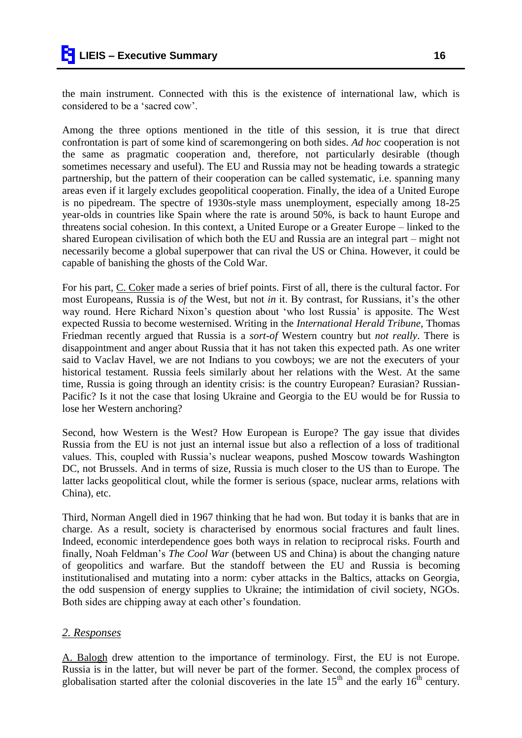the main instrument. Connected with this is the existence of international law, which is considered to be a "sacred cow".

Among the three options mentioned in the title of this session, it is true that direct confrontation is part of some kind of scaremongering on both sides. *Ad hoc* cooperation is not the same as pragmatic cooperation and, therefore, not particularly desirable (though sometimes necessary and useful). The EU and Russia may not be heading towards a strategic partnership, but the pattern of their cooperation can be called systematic, i.e. spanning many areas even if it largely excludes geopolitical cooperation. Finally, the idea of a United Europe is no pipedream. The spectre of 1930s-style mass unemployment, especially among 18-25 year-olds in countries like Spain where the rate is around 50%, is back to haunt Europe and threatens social cohesion. In this context, a United Europe or a Greater Europe – linked to the shared European civilisation of which both the EU and Russia are an integral part – might not necessarily become a global superpower that can rival the US or China. However, it could be capable of banishing the ghosts of the Cold War.

For his part, C. Coker made a series of brief points. First of all, there is the cultural factor. For most Europeans, Russia is *of* the West, but not *in* it. By contrast, for Russians, it's the other way round. Here Richard Nixon"s question about "who lost Russia" is apposite. The West expected Russia to become westernised. Writing in the *International Herald Tribune*, Thomas Friedman recently argued that Russia is a *sort-of* Western country but *not really*. There is disappointment and anger about Russia that it has not taken this expected path. As one writer said to Vaclav Havel, we are not Indians to you cowboys; we are not the executers of your historical testament. Russia feels similarly about her relations with the West. At the same time, Russia is going through an identity crisis: is the country European? Eurasian? Russian-Pacific? Is it not the case that losing Ukraine and Georgia to the EU would be for Russia to lose her Western anchoring?

Second, how Western is the West? How European is Europe? The gay issue that divides Russia from the EU is not just an internal issue but also a reflection of a loss of traditional values. This, coupled with Russia"s nuclear weapons, pushed Moscow towards Washington DC, not Brussels. And in terms of size, Russia is much closer to the US than to Europe. The latter lacks geopolitical clout, while the former is serious (space, nuclear arms, relations with China), etc.

Third, Norman Angell died in 1967 thinking that he had won. But today it is banks that are in charge. As a result, society is characterised by enormous social fractures and fault lines. Indeed, economic interdependence goes both ways in relation to reciprocal risks. Fourth and finally, Noah Feldman"s *The Cool War* (between US and China) is about the changing nature of geopolitics and warfare. But the standoff between the EU and Russia is becoming institutionalised and mutating into a norm: cyber attacks in the Baltics, attacks on Georgia, the odd suspension of energy supplies to Ukraine; the intimidation of civil society, NGOs. Both sides are chipping away at each other's foundation.

#### *2. Responses*

A. Balogh drew attention to the importance of terminology. First, the EU is not Europe. Russia is in the latter, but will never be part of the former. Second, the complex process of globalisation started after the colonial discoveries in the late  $15<sup>th</sup>$  and the early  $16<sup>th</sup>$  century.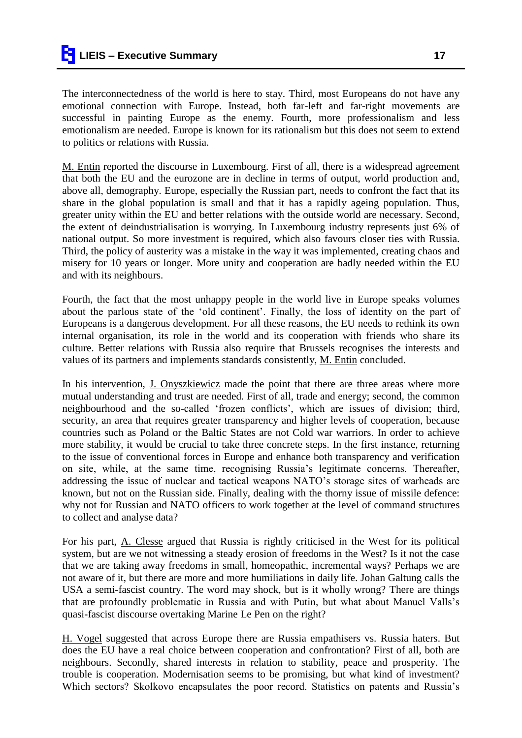The interconnectedness of the world is here to stay. Third, most Europeans do not have any emotional connection with Europe. Instead, both far-left and far-right movements are successful in painting Europe as the enemy. Fourth, more professionalism and less emotionalism are needed. Europe is known for its rationalism but this does not seem to extend to politics or relations with Russia.

M. Entin reported the discourse in Luxembourg. First of all, there is a widespread agreement that both the EU and the eurozone are in decline in terms of output, world production and, above all, demography. Europe, especially the Russian part, needs to confront the fact that its share in the global population is small and that it has a rapidly ageing population. Thus, greater unity within the EU and better relations with the outside world are necessary. Second, the extent of deindustrialisation is worrying. In Luxembourg industry represents just 6% of national output. So more investment is required, which also favours closer ties with Russia. Third, the policy of austerity was a mistake in the way it was implemented, creating chaos and misery for 10 years or longer. More unity and cooperation are badly needed within the EU and with its neighbours.

Fourth, the fact that the most unhappy people in the world live in Europe speaks volumes about the parlous state of the "old continent". Finally, the loss of identity on the part of Europeans is a dangerous development. For all these reasons, the EU needs to rethink its own internal organisation, its role in the world and its cooperation with friends who share its culture. Better relations with Russia also require that Brussels recognises the interests and values of its partners and implements standards consistently, M. Entin concluded.

In his intervention, J. Onyszkiewicz made the point that there are three areas where more mutual understanding and trust are needed. First of all, trade and energy; second, the common neighbourhood and the so-called "frozen conflicts", which are issues of division; third, security, an area that requires greater transparency and higher levels of cooperation, because countries such as Poland or the Baltic States are not Cold war warriors. In order to achieve more stability, it would be crucial to take three concrete steps. In the first instance, returning to the issue of conventional forces in Europe and enhance both transparency and verification on site, while, at the same time, recognising Russia"s legitimate concerns. Thereafter, addressing the issue of nuclear and tactical weapons NATO"s storage sites of warheads are known, but not on the Russian side. Finally, dealing with the thorny issue of missile defence: why not for Russian and NATO officers to work together at the level of command structures to collect and analyse data?

For his part, A. Clesse argued that Russia is rightly criticised in the West for its political system, but are we not witnessing a steady erosion of freedoms in the West? Is it not the case that we are taking away freedoms in small, homeopathic, incremental ways? Perhaps we are not aware of it, but there are more and more humiliations in daily life. Johan Galtung calls the USA a semi-fascist country. The word may shock, but is it wholly wrong? There are things that are profoundly problematic in Russia and with Putin, but what about Manuel Valls"s quasi-fascist discourse overtaking Marine Le Pen on the right?

H. Vogel suggested that across Europe there are Russia empathisers vs. Russia haters. But does the EU have a real choice between cooperation and confrontation? First of all, both are neighbours. Secondly, shared interests in relation to stability, peace and prosperity. The trouble is cooperation. Modernisation seems to be promising, but what kind of investment? Which sectors? Skolkovo encapsulates the poor record. Statistics on patents and Russia"s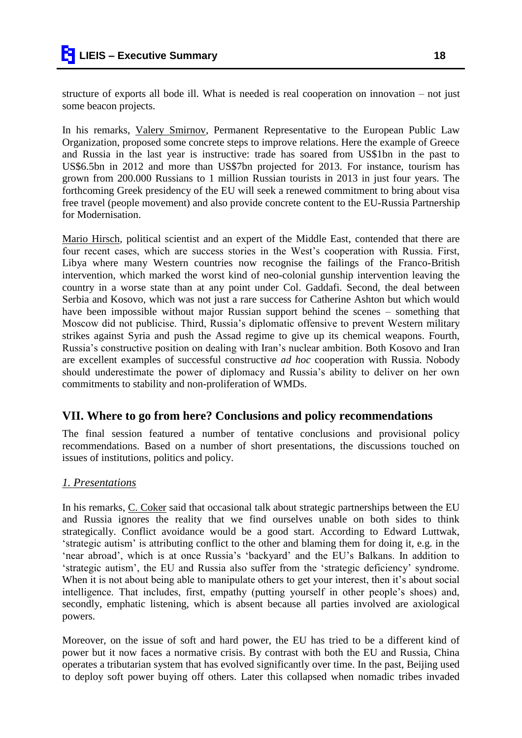structure of exports all bode ill. What is needed is real cooperation on innovation – not just some beacon projects.

In his remarks, Valery Smirnov, Permanent Representative to the European Public Law Organization, proposed some concrete steps to improve relations. Here the example of Greece and Russia in the last year is instructive: trade has soared from US\$1bn in the past to US\$6.5bn in 2012 and more than US\$7bn projected for 2013. For instance, tourism has grown from 200.000 Russians to 1 million Russian tourists in 2013 in just four years. The forthcoming Greek presidency of the EU will seek a renewed commitment to bring about visa free travel (people movement) and also provide concrete content to the EU-Russia Partnership for Modernisation.

Mario Hirsch, political scientist and an expert of the Middle East, contended that there are four recent cases, which are success stories in the West"s cooperation with Russia. First, Libya where many Western countries now recognise the failings of the Franco-British intervention, which marked the worst kind of neo-colonial gunship intervention leaving the country in a worse state than at any point under Col. Gaddafi. Second, the deal between Serbia and Kosovo, which was not just a rare success for Catherine Ashton but which would have been impossible without major Russian support behind the scenes – something that Moscow did not publicise. Third, Russia"s diplomatic offensive to prevent Western military strikes against Syria and push the Assad regime to give up its chemical weapons. Fourth, Russia"s constructive position on dealing with Iran"s nuclear ambition. Both Kosovo and Iran are excellent examples of successful constructive *ad hoc* cooperation with Russia. Nobody should underestimate the power of diplomacy and Russia"s ability to deliver on her own commitments to stability and non-proliferation of WMDs.

## **VII. Where to go from here? Conclusions and policy recommendations**

The final session featured a number of tentative conclusions and provisional policy recommendations. Based on a number of short presentations, the discussions touched on issues of institutions, politics and policy.

## *1. Presentations*

In his remarks, C. Coker said that occasional talk about strategic partnerships between the EU and Russia ignores the reality that we find ourselves unable on both sides to think strategically. Conflict avoidance would be a good start. According to Edward Luttwak, "strategic autism" is attributing conflict to the other and blaming them for doing it, e.g. in the 'near abroad', which is at once Russia's 'backyard' and the EU's Balkans. In addition to "strategic autism", the EU and Russia also suffer from the "strategic deficiency" syndrome. When it is not about being able to manipulate others to get your interest, then it's about social intelligence. That includes, first, empathy (putting yourself in other people"s shoes) and, secondly, emphatic listening, which is absent because all parties involved are axiological powers.

Moreover, on the issue of soft and hard power, the EU has tried to be a different kind of power but it now faces a normative crisis. By contrast with both the EU and Russia, China operates a tributarian system that has evolved significantly over time. In the past, Beijing used to deploy soft power buying off others. Later this collapsed when nomadic tribes invaded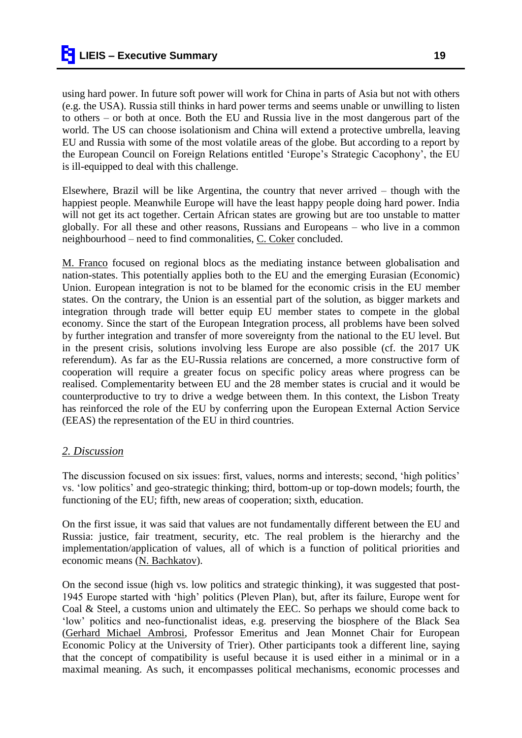using hard power. In future soft power will work for China in parts of Asia but not with others (e.g. the USA). Russia still thinks in hard power terms and seems unable or unwilling to listen to others – or both at once. Both the EU and Russia live in the most dangerous part of the world. The US can choose isolationism and China will extend a protective umbrella, leaving EU and Russia with some of the most volatile areas of the globe. But according to a report by the European Council on Foreign Relations entitled "Europe"s Strategic Cacophony", the EU is ill-equipped to deal with this challenge.

Elsewhere, Brazil will be like Argentina, the country that never arrived – though with the happiest people. Meanwhile Europe will have the least happy people doing hard power. India will not get its act together. Certain African states are growing but are too unstable to matter globally. For all these and other reasons, Russians and Europeans – who live in a common neighbourhood – need to find commonalities, C. Coker concluded.

M. Franco focused on regional blocs as the mediating instance between globalisation and nation-states. This potentially applies both to the EU and the emerging Eurasian (Economic) Union. European integration is not to be blamed for the economic crisis in the EU member states. On the contrary, the Union is an essential part of the solution, as bigger markets and integration through trade will better equip EU member states to compete in the global economy. Since the start of the European Integration process, all problems have been solved by further integration and transfer of more sovereignty from the national to the EU level. But in the present crisis, solutions involving less Europe are also possible (cf. the 2017 UK referendum). As far as the EU-Russia relations are concerned, a more constructive form of cooperation will require a greater focus on specific policy areas where progress can be realised. Complementarity between EU and the 28 member states is crucial and it would be counterproductive to try to drive a wedge between them. In this context, the Lisbon Treaty has reinforced the role of the EU by conferring upon the European External Action Service (EEAS) the representation of the EU in third countries.

## *2. Discussion*

The discussion focused on six issues: first, values, norms and interests; second, "high politics" vs. "low politics" and geo-strategic thinking; third, bottom-up or top-down models; fourth, the functioning of the EU; fifth, new areas of cooperation; sixth, education.

On the first issue, it was said that values are not fundamentally different between the EU and Russia: justice, fair treatment, security, etc. The real problem is the hierarchy and the implementation/application of values, all of which is a function of political priorities and economic means (N. Bachkatov).

On the second issue (high vs. low politics and strategic thinking), it was suggested that post-1945 Europe started with "high" politics (Pleven Plan), but, after its failure, Europe went for Coal & Steel, a customs union and ultimately the EEC. So perhaps we should come back to "low" politics and neo-functionalist ideas, e.g. preserving the biosphere of the Black Sea (Gerhard Michael Ambrosi, Professor Emeritus and Jean Monnet Chair for European Economic Policy at the University of Trier). Other participants took a different line, saying that the concept of compatibility is useful because it is used either in a minimal or in a maximal meaning. As such, it encompasses political mechanisms, economic processes and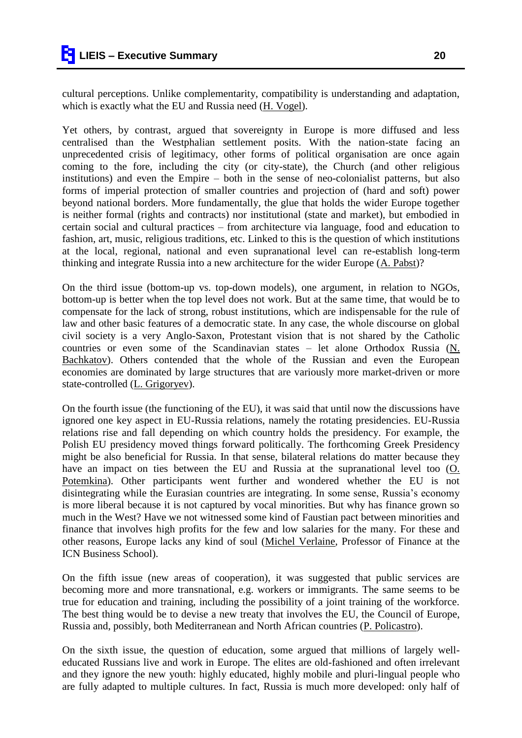cultural perceptions. Unlike complementarity, compatibility is understanding and adaptation, which is exactly what the EU and Russia need (H. Vogel).

Yet others, by contrast, argued that sovereignty in Europe is more diffused and less centralised than the Westphalian settlement posits. With the nation-state facing an unprecedented crisis of legitimacy, other forms of political organisation are once again coming to the fore, including the city (or city-state), the Church (and other religious institutions) and even the Empire – both in the sense of neo-colonialist patterns, but also forms of imperial protection of smaller countries and projection of (hard and soft) power beyond national borders. More fundamentally, the glue that holds the wider Europe together is neither formal (rights and contracts) nor institutional (state and market), but embodied in certain social and cultural practices – from architecture via language, food and education to fashion, art, music, religious traditions, etc. Linked to this is the question of which institutions at the local, regional, national and even supranational level can re-establish long-term thinking and integrate Russia into a new architecture for the wider Europe  $(A. \text{ Pabst})$ ?

On the third issue (bottom-up vs. top-down models), one argument, in relation to NGOs, bottom-up is better when the top level does not work. But at the same time, that would be to compensate for the lack of strong, robust institutions, which are indispensable for the rule of law and other basic features of a democratic state. In any case, the whole discourse on global civil society is a very Anglo-Saxon, Protestant vision that is not shared by the Catholic countries or even some of the Scandinavian states  $-$  let alone Orthodox Russia ( $N$ . Bachkatov). Others contended that the whole of the Russian and even the European economies are dominated by large structures that are variously more market-driven or more state-controlled (L. Grigoryev).

On the fourth issue (the functioning of the EU), it was said that until now the discussions have ignored one key aspect in EU-Russia relations, namely the rotating presidencies. EU-Russia relations rise and fall depending on which country holds the presidency. For example, the Polish EU presidency moved things forward politically. The forthcoming Greek Presidency might be also beneficial for Russia. In that sense, bilateral relations do matter because they have an impact on ties between the EU and Russia at the supranational level too (O. Potemkina). Other participants went further and wondered whether the EU is not disintegrating while the Eurasian countries are integrating. In some sense, Russia's economy is more liberal because it is not captured by vocal minorities. But why has finance grown so much in the West? Have we not witnessed some kind of Faustian pact between minorities and finance that involves high profits for the few and low salaries for the many. For these and other reasons, Europe lacks any kind of soul (Michel Verlaine, Professor of Finance at the ICN Business School).

On the fifth issue (new areas of cooperation), it was suggested that public services are becoming more and more transnational, e.g. workers or immigrants. The same seems to be true for education and training, including the possibility of a joint training of the workforce. The best thing would be to devise a new treaty that involves the EU, the Council of Europe, Russia and, possibly, both Mediterranean and North African countries (P. Policastro).

On the sixth issue, the question of education, some argued that millions of largely welleducated Russians live and work in Europe. The elites are old-fashioned and often irrelevant and they ignore the new youth: highly educated, highly mobile and pluri-lingual people who are fully adapted to multiple cultures. In fact, Russia is much more developed: only half of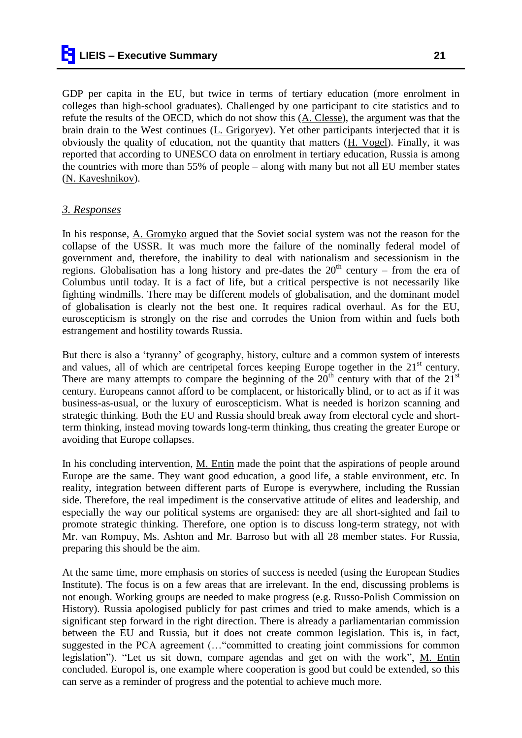GDP per capita in the EU, but twice in terms of tertiary education (more enrolment in colleges than high-school graduates). Challenged by one participant to cite statistics and to refute the results of the OECD, which do not show this (A. Clesse), the argument was that the brain drain to the West continues (L. Grigoryev). Yet other participants interjected that it is obviously the quality of education, not the quantity that matters (H. Vogel). Finally, it was reported that according to UNESCO data on enrolment in tertiary education, Russia is among

#### *3. Responses*

(N. Kaveshnikov).

In his response, A. Gromyko argued that the Soviet social system was not the reason for the collapse of the USSR. It was much more the failure of the nominally federal model of government and, therefore, the inability to deal with nationalism and secessionism in the regions. Globalisation has a long history and pre-dates the  $20<sup>th</sup>$  century – from the era of Columbus until today. It is a fact of life, but a critical perspective is not necessarily like fighting windmills. There may be different models of globalisation, and the dominant model of globalisation is clearly not the best one. It requires radical overhaul. As for the EU, euroscepticism is strongly on the rise and corrodes the Union from within and fuels both estrangement and hostility towards Russia.

the countries with more than 55% of people – along with many but not all EU member states

But there is also a "tyranny" of geography, history, culture and a common system of interests and values, all of which are centripetal forces keeping Europe together in the  $21<sup>st</sup>$  century. There are many attempts to compare the beginning of the  $20<sup>th</sup>$  century with that of the  $21<sup>st</sup>$ century. Europeans cannot afford to be complacent, or historically blind, or to act as if it was business-as-usual, or the luxury of euroscepticism. What is needed is horizon scanning and strategic thinking. Both the EU and Russia should break away from electoral cycle and shortterm thinking, instead moving towards long-term thinking, thus creating the greater Europe or avoiding that Europe collapses.

In his concluding intervention, M. Entin made the point that the aspirations of people around Europe are the same. They want good education, a good life, a stable environment, etc. In reality, integration between different parts of Europe is everywhere, including the Russian side. Therefore, the real impediment is the conservative attitude of elites and leadership, and especially the way our political systems are organised: they are all short-sighted and fail to promote strategic thinking. Therefore, one option is to discuss long-term strategy, not with Mr. van Rompuy, Ms. Ashton and Mr. Barroso but with all 28 member states. For Russia, preparing this should be the aim.

At the same time, more emphasis on stories of success is needed (using the European Studies Institute). The focus is on a few areas that are irrelevant. In the end, discussing problems is not enough. Working groups are needed to make progress (e.g. Russo-Polish Commission on History). Russia apologised publicly for past crimes and tried to make amends, which is a significant step forward in the right direction. There is already a parliamentarian commission between the EU and Russia, but it does not create common legislation. This is, in fact, suggested in the PCA agreement (…"committed to creating joint commissions for common legislation"). "Let us sit down, compare agendas and get on with the work", M. Entin concluded. Europol is, one example where cooperation is good but could be extended, so this can serve as a reminder of progress and the potential to achieve much more.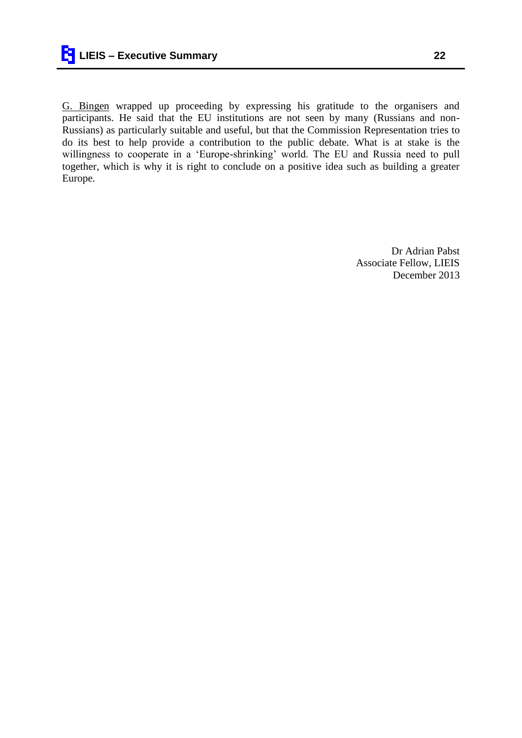G. Bingen wrapped up proceeding by expressing his gratitude to the organisers and participants. He said that the EU institutions are not seen by many (Russians and non-Russians) as particularly suitable and useful, but that the Commission Representation tries to do its best to help provide a contribution to the public debate. What is at stake is the willingness to cooperate in a 'Europe-shrinking' world. The EU and Russia need to pull together, which is why it is right to conclude on a positive idea such as building a greater Europe.

> Dr Adrian Pabst Associate Fellow, LIEIS December 2013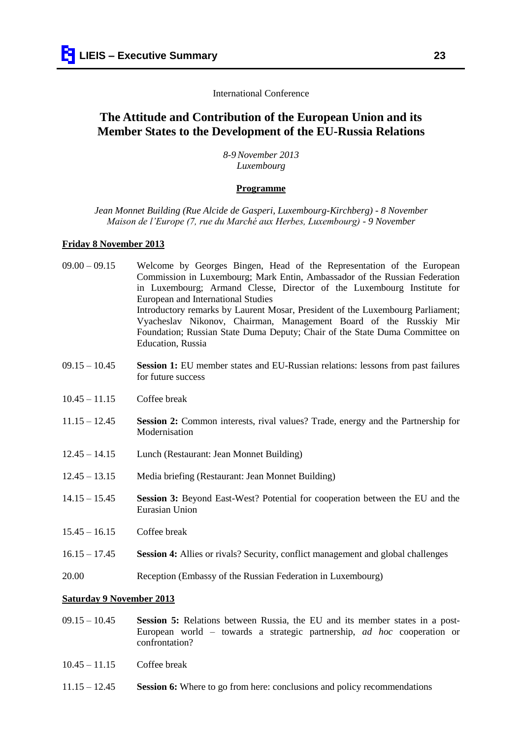#### International Conference

## **The Attitude and Contribution of the European Union and its Member States to the Development of the EU-Russia Relations**

*8-9November 2013 Luxembourg*

#### **Programme**

*Jean Monnet Building (Rue Alcide de Gasperi, Luxembourg-Kirchberg) - 8 November Maison de l'Europe (7, rue du Marché aux Herbes, Luxembourg) - 9 November*

#### **Friday 8 November 2013**

- 09.00 09.15 Welcome by Georges Bingen, Head of the Representation of the European Commission in Luxembourg; Mark Entin, Ambassador of the Russian Federation in Luxembourg; Armand Clesse, Director of the Luxembourg Institute for European and International Studies Introductory remarks by Laurent Mosar, President of the Luxembourg Parliament; Vyacheslav Nikonov, Chairman, Management Board of the Russkiy Mir Foundation; Russian State Duma Deputy; Chair of the State Duma Committee on Education, Russia
- 09.15 10.45 **Session 1:** EU member states and EU-Russian relations: lessons from past failures for future success
- 10.45 11.15 Coffee break
- 11.15 12.45 **Session 2:** Common interests, rival values? Trade, energy and the Partnership for Modernisation
- 12.45 14.15 Lunch (Restaurant: Jean Monnet Building)
- 12.45 13.15 Media briefing (Restaurant: Jean Monnet Building)
- 14.15 15.45 **Session 3:** Beyond East-West? Potential for cooperation between the EU and the Eurasian Union
- 15.45 16.15 Coffee break
- 16.15 17.45 **Session 4:** Allies or rivals? Security, conflict management and global challenges
- 20.00 Reception (Embassy of the Russian Federation in Luxembourg)

#### **Saturday 9 November 2013**

- 09.15 10.45 **Session 5:** Relations between Russia, the EU and its member states in a post-European world – towards a strategic partnership, *ad hoc* cooperation or confrontation?
- 10.45 11.15 Coffee break
- 11.15 12.45 **Session 6:** Where to go from here: conclusions and policy recommendations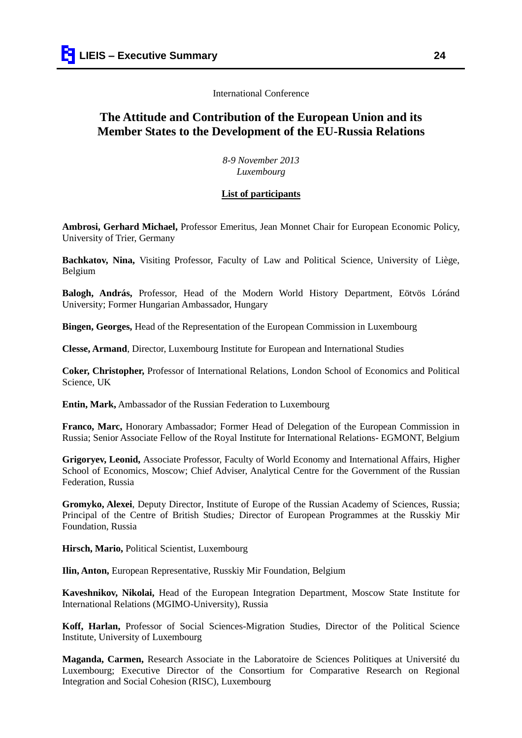International Conference

# **The Attitude and Contribution of the European Union and its Member States to the Development of the EU-Russia Relations**

*8-9 November 2013 Luxembourg*

#### **List of participants**

**Ambrosi, Gerhard Michael,** Professor Emeritus, Jean Monnet Chair for European Economic Policy, University of Trier, Germany

**Bachkatov, Nina,** Visiting Professor, Faculty of Law and Political Science, University of Liège, Belgium

**Balogh, András,** Professor, Head of the Modern World History Department, Eötvös Lóránd University; Former Hungarian Ambassador, Hungary

**Bingen, Georges,** Head of the Representation of the European Commission in Luxembourg

**Clesse, Armand**, Director, Luxembourg Institute for European and International Studies

**Coker, Christopher,** Professor of International Relations, London School of Economics and Political Science, UK

**Entin, Mark,** Ambassador of the Russian Federation to Luxembourg

**Franco, Marc,** Honorary Ambassador; Former Head of Delegation of the European Commission in Russia; Senior Associate Fellow of the Royal Institute for International Relations- EGMONT, Belgium

**Grigoryev, Leonid,** Associate Professor, Faculty of World Economy and International Affairs, Higher School of Economics, Moscow; Chief Adviser, Analytical Centre for the Government of the Russian Federation, Russia

**Gromyko, Alexei**, Deputy Director, Institute of Europe of the Russian Academy of Sciences, Russia; Principal of the Centre of British Studies*;* Director of European Programmes at the Russkiy Mir Foundation, Russia

**Hirsch, Mario,** Political Scientist, Luxembourg

**Ilin, Anton,** European Representative, Russkiy Mir Foundation, Belgium

**Kaveshnikov, Nikolai,** Head of the European Integration Department, Moscow State Institute for International Relations (MGIMO-University), Russia

**Koff, Harlan,** Professor of Social Sciences-Migration Studies, Director of the Political Science Institute, University of Luxembourg

**Maganda, Carmen,** Research Associate in the Laboratoire de Sciences Politiques at Université du Luxembourg; Executive Director of the Consortium for Comparative Research on Regional Integration and Social Cohesion (RISC), Luxembourg